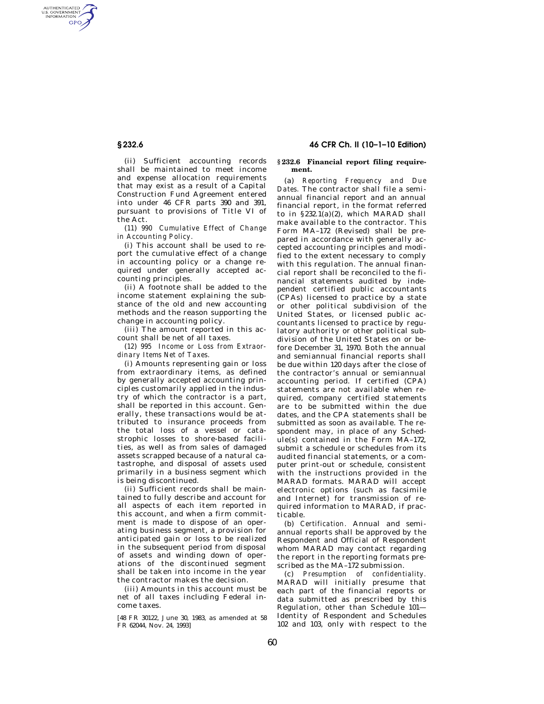AUTHENTICATED<br>U.S. GOVERNMENT<br>INFORMATION **GPO** 

> (ii) Sufficient accounting records shall be maintained to meet income and expense allocation requirements that may exist as a result of a Capital Construction Fund Agreement entered into under 46 CFR parts 390 and 391, pursuant to provisions of Title VI of the Act.

(*11*) *990 Cumulative Effect of Change in Accounting Policy.* 

(i) This account shall be used to report the cumulative effect of a change in accounting policy or a change required under generally accepted accounting principles.

(ii) A footnote shall be added to the income statement explaining the substance of the old and new accounting methods and the reason supporting the change in accounting policy.

(iii) The amount reported in this account shall be net of all taxes.

(*12*) *995 Income or Loss from Extraordinary Items Net of Taxes.* 

(i) Amounts representing gain or loss from extraordinary items, as defined by generally accepted accounting principles customarily applied in the industry of which the contractor is a part, shall be reported in this account. Generally, these transactions would be attributed to insurance proceeds from the total loss of a vessel or catastrophic losses to shore-based facilities, as well as from sales of damaged assets scrapped because of a natural catastrophe, and disposal of assets used primarily in a business segment which is being discontinued.

(ii) Sufficient records shall be maintained to fully describe and account for all aspects of each item reported in this account, and when a firm commitment is made to dispose of an operating business segment, a provision for anticipated gain or loss to be realized in the subsequent period from disposal of assets and winding down of operations of the discontinued segment shall be taken into income in the year the contractor makes the decision.

(iii) Amounts in this account must be net of all taxes including Federal income taxes.

[48 FR 30122, June 30, 1983, as amended at 58 FR 62044, Nov. 24, 1993]

# **§ 232.6 46 CFR Ch. II (10–1–10 Edition)**

### **§ 232.6 Financial report filing requirement.**

(a) *Reporting Frequency and Due Dates.* The contractor shall file a semiannual financial report and an annual financial report, in the format referred to in  $\S 232.1(a)(2)$ , which MARAD shall make available to the contractor. This Form MA–172 (Revised) shall be prepared in accordance with generally accepted accounting principles and modified to the extent necessary to comply with this regulation. The annual financial report shall be reconciled to the financial statements audited by independent certified public accountants (CPAs) licensed to practice by a state or other political subdivision of the United States, or licensed public accountants licensed to practice by regulatory authority or other political subdivision of the United States on or before December 31, 1970. Both the annual and semiannual financial reports shall be due within 120 days after the close of the contractor's annual or semiannual accounting period. If certified (CPA) statements are not available when required, company certified statements are to be submitted within the due dates, and the CPA statements shall be submitted as soon as available. The respondent may, in place of any Schedule(s) contained in the Form MA–172, submit a schedule or schedules from its audited financial statements, or a computer print-out or schedule, consistent with the instructions provided in the MARAD formats. MARAD will accept electronic options (such as facsimile and Internet) for transmission of required information to MARAD, if practicable.

(b) *Certification.* Annual and semiannual reports shall be approved by the Respondent and Official of Respondent whom MARAD may contact regarding the report in the reporting formats prescribed as the MA–172 submission.

(c) *Presumption of confidentiality.*  MARAD will initially presume that each part of the financial reports or data submitted as prescribed by this Regulation, other than Schedule 101— Identity of Respondent and Schedules 102 and 103, only with respect to the